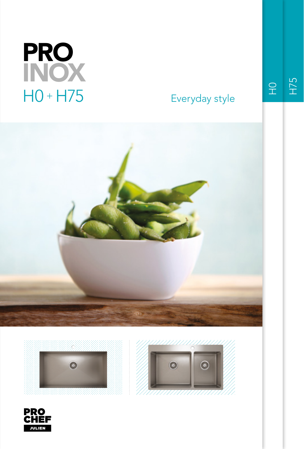# **PRO** INOX H0 + H75

# Everyday style





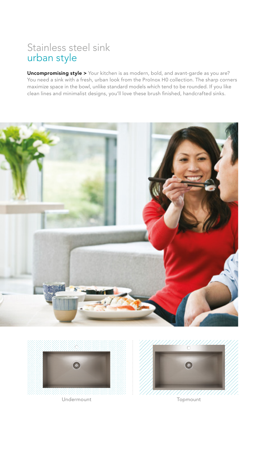## Stainless steel sink urban style

Uncompromising style > Your kitchen is as modern, bold, and avant-garde as you are? You need a sink with a fresh, urban look from the ProInox H0 collection. The sharp corners maximize space in the bowl, unlike standard models which tend to be rounded. If you like clean lines and minimalist designs, you'll love these brush finished, handcrafted sinks.



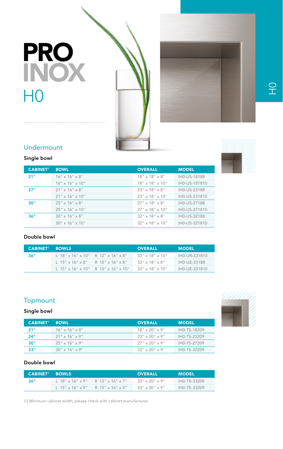# **PRO** INOX H0





## Undermount

#### Single bowl

| <b>CABINET1</b> | <b>BOWL</b>                    | <b>OVERALL</b>                 | <b>MODEL</b>  |
|-----------------|--------------------------------|--------------------------------|---------------|
| 21"             | $16" \times 16" \times 8"$     | $18" \times 18" \times 8"$     | IHO-US-18188  |
|                 | $16" \times 16" \times 10"$    | $18" \times 18" \times 10"$    | IH0-US-181810 |
| 27"             | $21" \times 16" \times 8"$     | $23" \times 18" \times 8"$     | IH0-US-23188  |
|                 | $21" \times 16" \times 10"$    | $23" \times 18" \times 10"$    | IHO-US-231810 |
| 30"             | $25" \times 16" \times 8"$     | $27" \times 18" \times 8"$     | IHO-US-27188  |
|                 | $25" \times 16" \times 10"$    | $27" \times 18" \times 10"$    | IH0-US-271810 |
| 36"             | $30'' \times 16'' \times 8''$  | $32'' \times 18'' \times 8''$  | IHO-US-32188  |
|                 | $30'' \times 16'' \times 10''$ | $32'' \times 18'' \times 10''$ | IH0-US-321810 |

#### Double bowl

| <b>CABINET<sup>1</sup></b> | <b>BOWLS</b>                                               |                                                             | <b>OVERALL</b>                 | <b>MODEL</b>  |
|----------------------------|------------------------------------------------------------|-------------------------------------------------------------|--------------------------------|---------------|
| 36"                        | $1.18" \times 16" \times 10"$ R $12" \times 16" \times 8"$ |                                                             | $33'' \times 18'' \times 10''$ | IHO-UR-331810 |
|                            | $1.15" \times 16" \times 8"$ R $15" \times 16" \times 8"$  |                                                             | $33" \times 18" \times 8"$     | IH0-UE-33188  |
|                            |                                                            | $1.15" \times 16" \times 10"$ R $15" \times 16" \times 10"$ | $33'' \times 18'' \times 10''$ | IHO-UE-331810 |

## **Topmount**

## Single bowl

| <b>CABINET1</b> | <b>BOWL</b>                   | <b>OVERALL</b>                | <b>MODEL</b> |
|-----------------|-------------------------------|-------------------------------|--------------|
| 21"             | $16" \times 16" \times 9"$    | $18" \times 20" \times 9"$    | IH0-TS-18209 |
| 24"             | $21" \times 16" \times 9"$    | $23" \times 20" \times 9"$    | IH0-TS-23209 |
| 30"             | $25" \times 16" \times 9"$    | $27" \times 20" \times 9"$    | IH0-TS-27209 |
| 33"             | $30'' \times 16'' \times 9''$ | $32'' \times 20'' \times 9''$ | IH0-TS-32209 |

### Double bowl

| <b>CABINET<sup>1</sup></b> BOWLS |                                                           |                  | <b>OVERALL</b>                | <b>MODEL</b> |
|----------------------------------|-----------------------------------------------------------|------------------|-------------------------------|--------------|
| -36"                             | $1.18" \times 16" \times 9"$                              | R 12" x 16" x 7" | $33" \times 20" \times 9"$    | IHO-TR-33209 |
|                                  | $1.15" \times 16" \times 9"$ R $15" \times 16" \times 9"$ |                  | $33'' \times 20'' \times 9''$ | IH0-TF-33209 |

(1) Minimum cabinet width; please check with cabinet manufacturer.



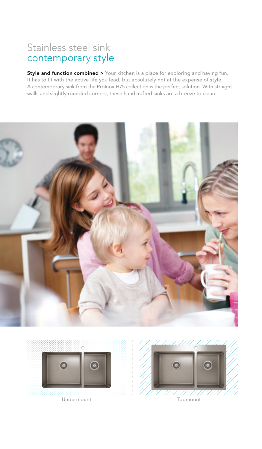## Stainless steel sink contemporary style

**Style and function combined >** Your kitchen is a place for exploring and having fun. It has to fit with the active life you lead, but absolutely not at the expense of style. A contemporary sink from the ProInox H75 collection is the perfect solution. With straight walls and slightly rounded corners, these handcrafted sinks are a breeze to clean.





Undermount Topmount

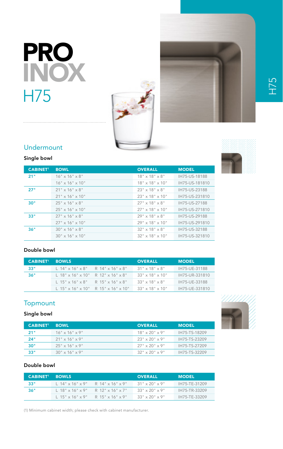# **PRO** INOX H75

. . . . . . . . . . . . . . . . . . . .



## Undermount

#### Single bowl

| <b>CABINET1</b> | <b>BOWL</b>                    | <b>OVERALL</b>              | <b>MODEL</b>   |
|-----------------|--------------------------------|-----------------------------|----------------|
| 21"             | $16" \times 16" \times 8"$     | $18" \times 18" \times 8"$  | IH75-US-18188  |
|                 | $16" \times 16" \times 10"$    | $18" \times 18" \times 10"$ | IH75-US-181810 |
| 27"             | $21" \times 16" \times 8"$     | $23" \times 18" \times 8"$  | IH75-US-23188  |
|                 | $21" \times 16" \times 10"$    | $23" \times 18" \times 10"$ | IH75-US-231810 |
| 30"             | $25" \times 16" \times 8"$     | $27''$ x 18" x 8"           | IH75-US-27188  |
|                 | $25" \times 16" \times 10"$    | $27" \times 18" \times 10"$ | IH75-US-271810 |
| 33"             | $27" \times 16" \times 8"$     | $29" \times 18" \times 8"$  | IH75-US-29188  |
|                 | $27" \times 16" \times 10"$    | 29" x 18" x 10"             | IH75-US-291810 |
| 36"             | $30'' \times 16'' \times 8''$  | $32''$ x $18''$ x $8''$     | IH75-US-32188  |
|                 | $30'' \times 16'' \times 10''$ | $32" \times 18" \times 10"$ | IH75-US-321810 |

## Double bowl

| <b>CABINET1</b> | <b>BOWLS</b>                                                                                                      |                                                             | <b>OVERALL</b>                 | <b>MODEL</b>   |
|-----------------|-------------------------------------------------------------------------------------------------------------------|-------------------------------------------------------------|--------------------------------|----------------|
| 33"             | $\lfloor 14^{\circ} \times 16^{\circ} \times 8^{\circ} \rfloor$ R $14^{\circ} \times 16^{\circ} \times 8^{\circ}$ |                                                             | $31" \times 18" \times 8"$     | IH75-UE-31188  |
| 36"             | $1.18" \times 16" \times 10"$ R $12" \times 16" \times 8"$                                                        |                                                             | $33'' \times 18'' \times 10''$ | IH75-UR-331810 |
|                 | $1.15" \times 16" \times 8"$ R $15" \times 16" \times 8"$                                                         |                                                             | $33" \times 18" \times 8"$     | IH75-UE-33188  |
|                 |                                                                                                                   | $1.15" \times 16" \times 10"$ R $15" \times 16" \times 10"$ | $33'' \times 18'' \times 10''$ | IH75-UE-331810 |

## **Topmount**

### Single bowl

| <b>CABINET1</b> | <b>BOWL</b>                   | <b>OVERALL</b>                | <b>MODEL</b>  |
|-----------------|-------------------------------|-------------------------------|---------------|
| 21"             | $16" \times 16" \times 9"$    | $18" \times 20" \times 9"$    | IH75-TS-18209 |
| 24"             | $21" \times 16" \times 9"$    | $23" \times 20" \times 9"$    | IH75-TS-23209 |
| 30"             | $25" \times 16" \times 9"$    | $27" \times 20" \times 9"$    | IH75-TS-27209 |
| 33"             | $30'' \times 16'' \times 9''$ | $32'' \times 20'' \times 9''$ | IH75-TS-32209 |

## Double bowl

| <b>CABINET1</b> | <b>BOWLS</b>                 |                  | <b>OVERALL</b>                | <b>MODEL</b>  |
|-----------------|------------------------------|------------------|-------------------------------|---------------|
| 33"             | $1.14" \times 16" \times 9"$ | R 14" x 16" x 9" | $31'' \times 20'' \times 9''$ | IH75-TF-31209 |
| 36"             | $1.18" \times 16" \times 9"$ | R 12" x 16" x 7" | $33'' \times 20'' \times 9''$ | IH75-TR-33209 |
|                 | L 15" x 16" x 9"             | R 15" x 16" x 9" | $33'' \times 20'' \times 9''$ | IH75-TF-33209 |

(1) Minimum cabinet width; please check with cabinet manufacturer.

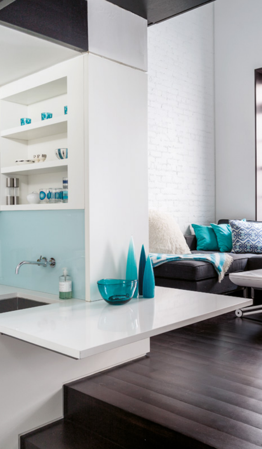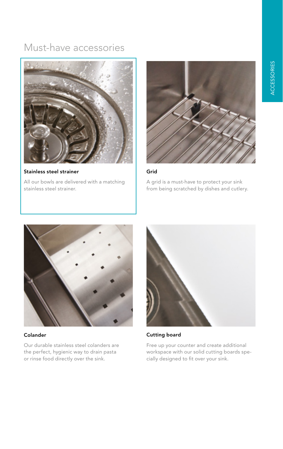## Must-have accessories



### Stainless steel strainer

All our bowls are delivered with a matching stainless steel strainer.





A grid is a must-have to protect your sink from being scratched by dishes and cutlery.



#### Colander

Our durable stainless steel colanders are the perfect, hygienic way to drain pasta or rinse food directly over the sink.



Cutting board

Free up your counter and create additional workspace with our solid cutting boards specially designed to fit over your sink.